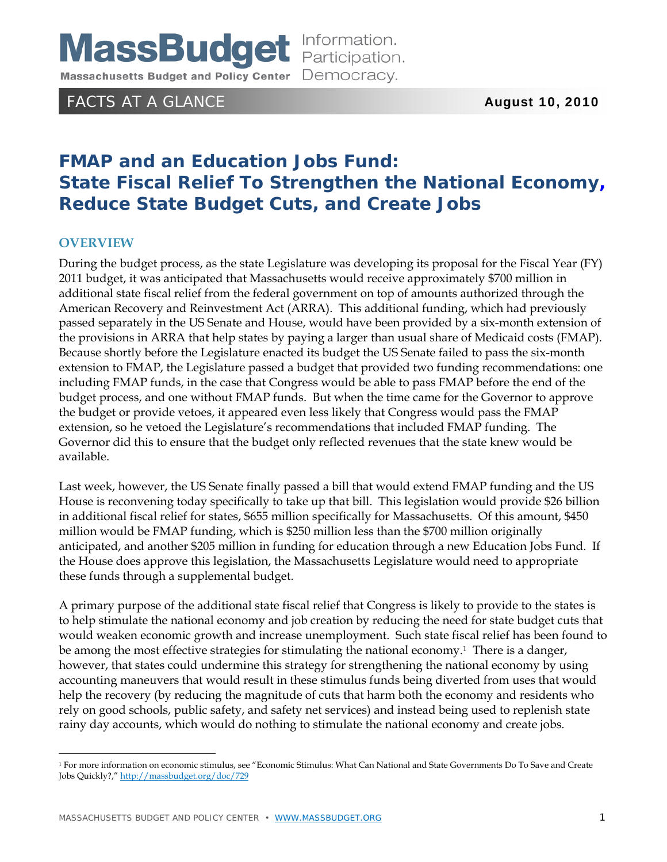# **MassBudget** Information.

Massachusetts Budget and Policy Center Democracy.

# FACTS AT A GLANCE **August 10, 2010**

# **FMAP and an Education Jobs Fund: State Fiscal Relief To Strengthen the National Economy, Reduce State Budget Cuts, and Create Jobs**

# **OVERVIEW**

 $\overline{a}$ 

During the budget process, as the state Legislature was developing its proposal for the Fiscal Year (FY) 2011 budget, it was anticipated that Massachusetts would receive approximately \$700 million in additional state fiscal relief from the federal government on top of amounts authorized through the American Recovery and Reinvestment Act (ARRA). This additional funding, which had previously passed separately in the US Senate and House, would have been provided by a six-month extension of the provisions in ARRA that help states by paying a larger than usual share of Medicaid costs (FMAP). Because shortly before the Legislature enacted its budget the US Senate failed to pass the six-month extension to FMAP, the Legislature passed a budget that provided two funding recommendations: one including FMAP funds, in the case that Congress would be able to pass FMAP before the end of the budget process, and one without FMAP funds. But when the time came for the Governor to approve the budget or provide vetoes, it appeared even less likely that Congress would pass the FMAP extension, so he vetoed the Legislature's recommendations that included FMAP funding. The Governor did this to ensure that the budget only reflected revenues that the state knew would be available.

Last week, however, the US Senate finally passed a bill that would extend FMAP funding and the US House is reconvening today specifically to take up that bill. This legislation would provide \$26 billion in additional fiscal relief for states, \$655 million specifically for Massachusetts. Of this amount, \$450 million would be FMAP funding, which is \$250 million less than the \$700 million originally anticipated, and another \$205 million in funding for education through a new Education Jobs Fund. If the House does approve this legislation, the Massachusetts Legislature would need to appropriate these funds through a supplemental budget.

A primary purpose of the additional state fiscal relief that Congress is likely to provide to the states is to help stimulate the national economy and job creation by reducing the need for state budget cuts that would weaken economic growth and increase unemployment. Such state fiscal relief has been found to be among the most effective strategies for stimulating the national economy.<sup>1</sup> There is a danger, however, that states could undermine this strategy for strengthening the national economy by using accounting maneuvers that would result in these stimulus funds being diverted from uses that would help the recovery (by reducing the magnitude of cuts that harm both the economy and residents who rely on good schools, public safety, and safety net services) and instead being used to replenish state rainy day accounts, which would do nothing to stimulate the national economy and create jobs.

<sup>1</sup> For more information on economic stimulus, see "Economic Stimulus: What Can National and State Governments Do To Save and Create Jobs Quickly?," http://massbudget.org/doc/729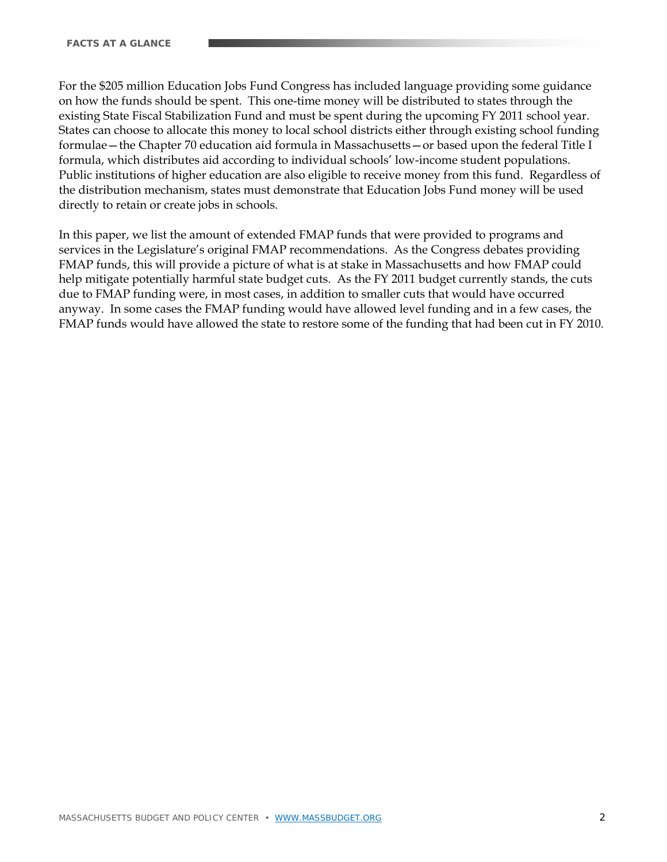For the \$205 million Education Jobs Fund Congress has included language providing some guidance on how the funds should be spent. This one-time money will be distributed to states through the existing State Fiscal Stabilization Fund and must be spent during the upcoming FY 2011 school year. States can choose to allocate this money to local school districts either through existing school funding formulae—the Chapter 70 education aid formula in Massachusetts—or based upon the federal Title I formula, which distributes aid according to individual schools' low-income student populations. Public institutions of higher education are also eligible to receive money from this fund. Regardless of the distribution mechanism, states must demonstrate that Education Jobs Fund money will be used directly to retain or create jobs in schools.

In this paper, we list the amount of extended FMAP funds that were provided to programs and services in the Legislature's original FMAP recommendations. As the Congress debates providing FMAP funds, this will provide a picture of what is at stake in Massachusetts and how FMAP could help mitigate potentially harmful state budget cuts. As the FY 2011 budget currently stands, the cuts due to FMAP funding were, in most cases, in addition to smaller cuts that would have occurred anyway. In some cases the FMAP funding would have allowed level funding and in a few cases, the FMAP funds would have allowed the state to restore some of the funding that had been cut in FY 2010.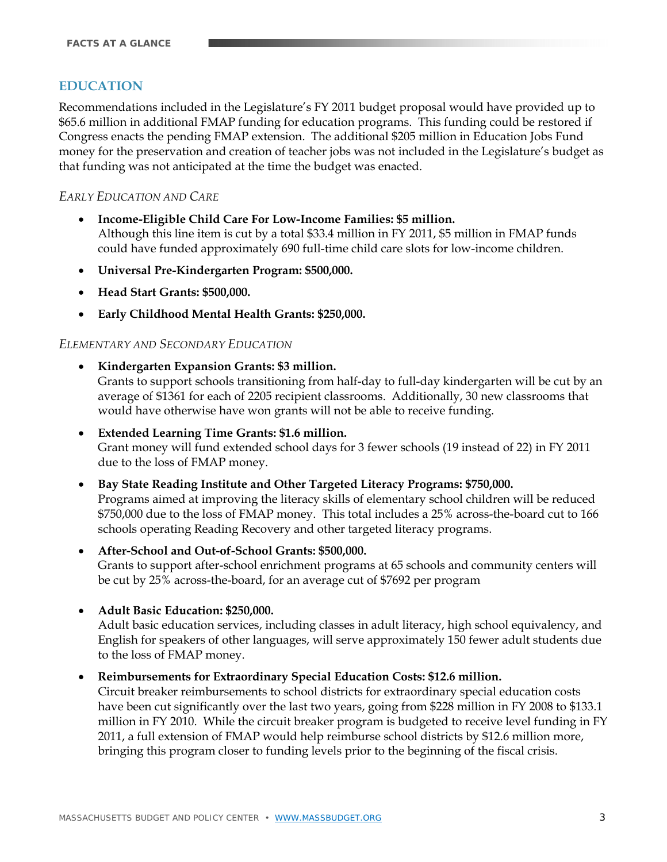# **EDUCATION**

Recommendations included in the Legislature's FY 2011 budget proposal would have provided up to \$65.6 million in additional FMAP funding for education programs. This funding could be restored if Congress enacts the pending FMAP extension. The additional \$205 million in Education Jobs Fund money for the preservation and creation of teacher jobs was not included in the Legislature's budget as that funding was not anticipated at the time the budget was enacted.

#### *EARLY EDUCATION AND CARE*

- **Income-Eligible Child Care For Low-Income Families: \$5 million.** Although this line item is cut by a total \$33.4 million in FY 2011, \$5 million in FMAP funds could have funded approximately 690 full-time child care slots for low-income children.
- **Universal Pre-Kindergarten Program: \$500,000.**
- **Head Start Grants: \$500,000.**
- **Early Childhood Mental Health Grants: \$250,000.**

#### *ELEMENTARY AND SECONDARY EDUCATION*

**Kindergarten Expansion Grants: \$3 million.**

Grants to support schools transitioning from half-day to full-day kindergarten will be cut by an average of \$1361 for each of 2205 recipient classrooms. Additionally, 30 new classrooms that would have otherwise have won grants will not be able to receive funding.

- **Extended Learning Time Grants: \$1.6 million.** Grant money will fund extended school days for 3 fewer schools (19 instead of 22) in FY 2011 due to the loss of FMAP money.
- **Bay State Reading Institute and Other Targeted Literacy Programs: \$750,000.** Programs aimed at improving the literacy skills of elementary school children will be reduced \$750,000 due to the loss of FMAP money. This total includes a 25% across-the-board cut to 166 schools operating Reading Recovery and other targeted literacy programs.
- **After-School and Out-of-School Grants: \$500,000.**  Grants to support after-school enrichment programs at 65 schools and community centers will be cut by 25% across-the-board, for an average cut of \$7692 per program
- **Adult Basic Education: \$250,000.**

Adult basic education services, including classes in adult literacy, high school equivalency, and English for speakers of other languages, will serve approximately 150 fewer adult students due to the loss of FMAP money.

#### **Reimbursements for Extraordinary Special Education Costs: \$12.6 million.**

Circuit breaker reimbursements to school districts for extraordinary special education costs have been cut significantly over the last two years, going from \$228 million in FY 2008 to \$133.1 million in FY 2010. While the circuit breaker program is budgeted to receive level funding in FY 2011, a full extension of FMAP would help reimburse school districts by \$12.6 million more, bringing this program closer to funding levels prior to the beginning of the fiscal crisis.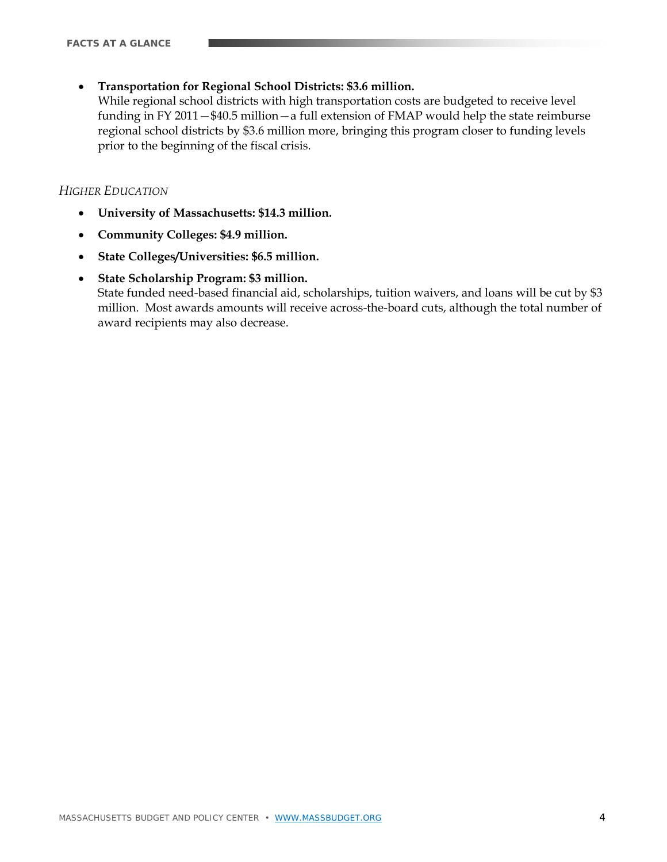**Transportation for Regional School Districts: \$3.6 million.**

While regional school districts with high transportation costs are budgeted to receive level funding in FY 2011—\$40.5 million—a full extension of FMAP would help the state reimburse regional school districts by \$3.6 million more, bringing this program closer to funding levels prior to the beginning of the fiscal crisis.

#### *HIGHER EDUCATION*

- **University of Massachusetts: \$14.3 million.**
- **Community Colleges: \$4.9 million.**
- **State Colleges/Universities: \$6.5 million.**

#### **State Scholarship Program: \$3 million.**

State funded need-based financial aid, scholarships, tuition waivers, and loans will be cut by \$3 million. Most awards amounts will receive across-the-board cuts, although the total number of award recipients may also decrease.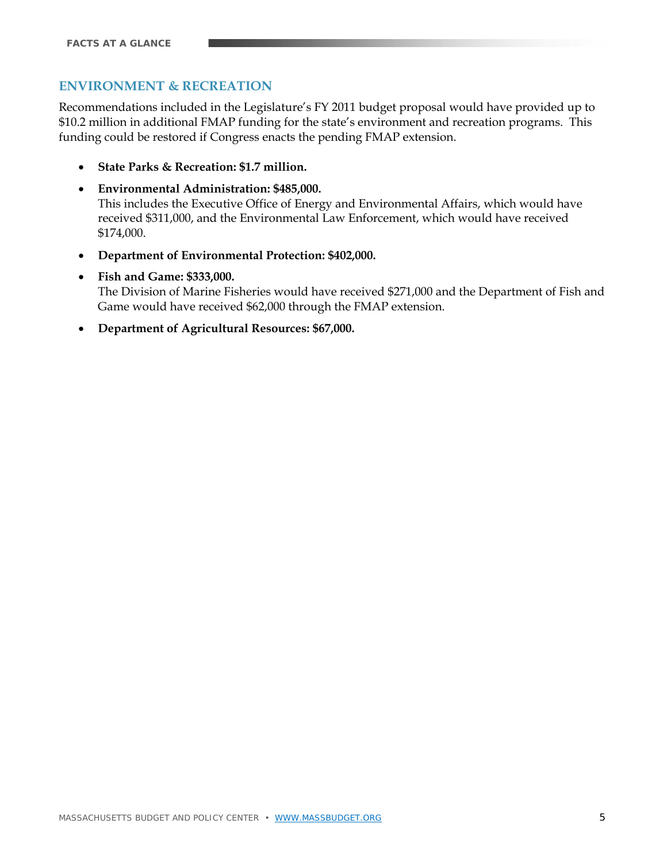# **ENVIRONMENT & RECREATION**

Recommendations included in the Legislature's FY 2011 budget proposal would have provided up to \$10.2 million in additional FMAP funding for the state's environment and recreation programs. This funding could be restored if Congress enacts the pending FMAP extension.

- **State Parks & Recreation: \$1.7 million.**
- **Environmental Administration: \$485,000.**  This includes the Executive Office of Energy and Environmental Affairs, which would have received \$311,000, and the Environmental Law Enforcement, which would have received \$174,000.
- **Department of Environmental Protection: \$402,000.**
- **Fish and Game: \$333,000.**

The Division of Marine Fisheries would have received \$271,000 and the Department of Fish and Game would have received \$62,000 through the FMAP extension.

**Department of Agricultural Resources: \$67,000.**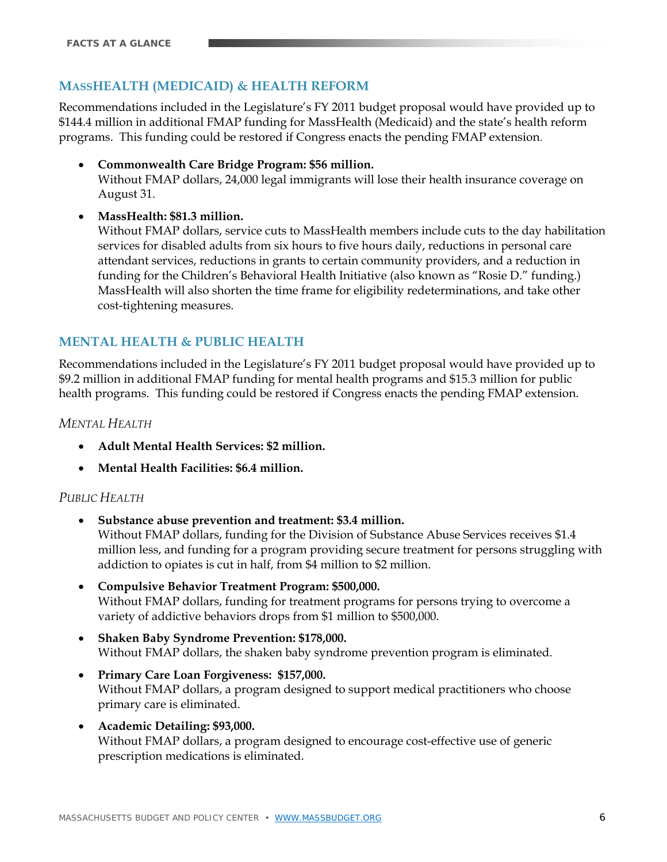# **MASSHEALTH (MEDICAID) & HEALTH REFORM**

Recommendations included in the Legislature's FY 2011 budget proposal would have provided up to \$144.4 million in additional FMAP funding for MassHealth (Medicaid) and the state's health reform programs. This funding could be restored if Congress enacts the pending FMAP extension.

 **Commonwealth Care Bridge Program: \$56 million.**  Without FMAP dollars, 24,000 legal immigrants will lose their health insurance coverage on August 31.

#### **MassHealth: \$81.3 million.**

Without FMAP dollars, service cuts to MassHealth members include cuts to the day habilitation services for disabled adults from six hours to five hours daily, reductions in personal care attendant services, reductions in grants to certain community providers, and a reduction in funding for the Children's Behavioral Health Initiative (also known as "Rosie D." funding.) MassHealth will also shorten the time frame for eligibility redeterminations, and take other cost-tightening measures.

# **MENTAL HEALTH & PUBLIC HEALTH**

Recommendations included in the Legislature's FY 2011 budget proposal would have provided up to \$9.2 million in additional FMAP funding for mental health programs and \$15.3 million for public health programs. This funding could be restored if Congress enacts the pending FMAP extension.

#### *MENTAL HEALTH*

- **Adult Mental Health Services: \$2 million.**
- **Mental Health Facilities: \$6.4 million.**

# *PUBLIC HEALTH*

- **Substance abuse prevention and treatment: \$3.4 million.**  Without FMAP dollars, funding for the Division of Substance Abuse Services receives \$1.4 million less, and funding for a program providing secure treatment for persons struggling with addiction to opiates is cut in half, from \$4 million to \$2 million.
- **Compulsive Behavior Treatment Program: \$500,000.** Without FMAP dollars, funding for treatment programs for persons trying to overcome a variety of addictive behaviors drops from \$1 million to \$500,000.
- **Shaken Baby Syndrome Prevention: \$178,000.** Without FMAP dollars, the shaken baby syndrome prevention program is eliminated.
- **Primary Care Loan Forgiveness: \$157,000.**  Without FMAP dollars, a program designed to support medical practitioners who choose primary care is eliminated.
- **Academic Detailing: \$93,000.** Without FMAP dollars, a program designed to encourage cost-effective use of generic prescription medications is eliminated.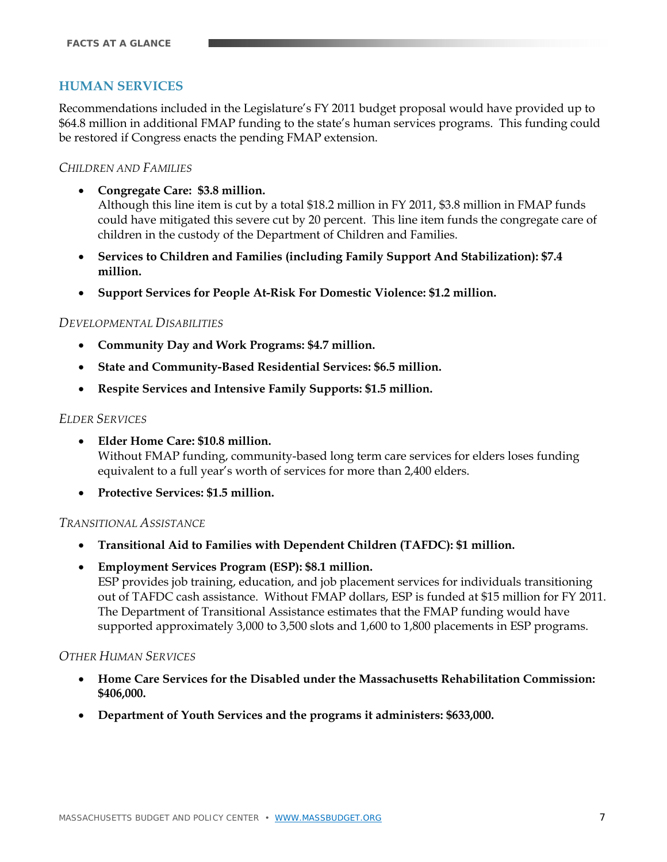# **HUMAN SERVICES**

Recommendations included in the Legislature's FY 2011 budget proposal would have provided up to \$64.8 million in additional FMAP funding to the state's human services programs. This funding could be restored if Congress enacts the pending FMAP extension.

#### *CHILDREN AND FAMILIES*

**Congregate Care: \$3.8 million.**

Although this line item is cut by a total \$18.2 million in FY 2011, \$3.8 million in FMAP funds could have mitigated this severe cut by 20 percent. This line item funds the congregate care of children in the custody of the Department of Children and Families.

- **Services to Children and Families (including Family Support And Stabilization): \$7.4 million.**
- **Support Services for People At-Risk For Domestic Violence: \$1.2 million.**

#### *DEVELOPMENTAL DISABILITIES*

- **Community Day and Work Programs: \$4.7 million.**
- **State and Community-Based Residential Services: \$6.5 million.**
- **Respite Services and Intensive Family Supports: \$1.5 million.**

#### *ELDER SERVICES*

- **Elder Home Care: \$10.8 million.** Without FMAP funding, community-based long term care services for elders loses funding equivalent to a full year's worth of services for more than 2,400 elders.
- **Protective Services: \$1.5 million.**

#### *TRANSITIONAL ASSISTANCE*

- **Transitional Aid to Families with Dependent Children (TAFDC): \$1 million.**
- **Employment Services Program (ESP): \$8.1 million.**  ESP provides job training, education, and job placement services for individuals transitioning out of TAFDC cash assistance. Without FMAP dollars, ESP is funded at \$15 million for FY 2011. The Department of Transitional Assistance estimates that the FMAP funding would have supported approximately 3,000 to 3,500 slots and 1,600 to 1,800 placements in ESP programs.

#### *OTHER HUMAN SERVICES*

- **Home Care Services for the Disabled under the Massachusetts Rehabilitation Commission: \$406,000.**
- **Department of Youth Services and the programs it administers: \$633,000.**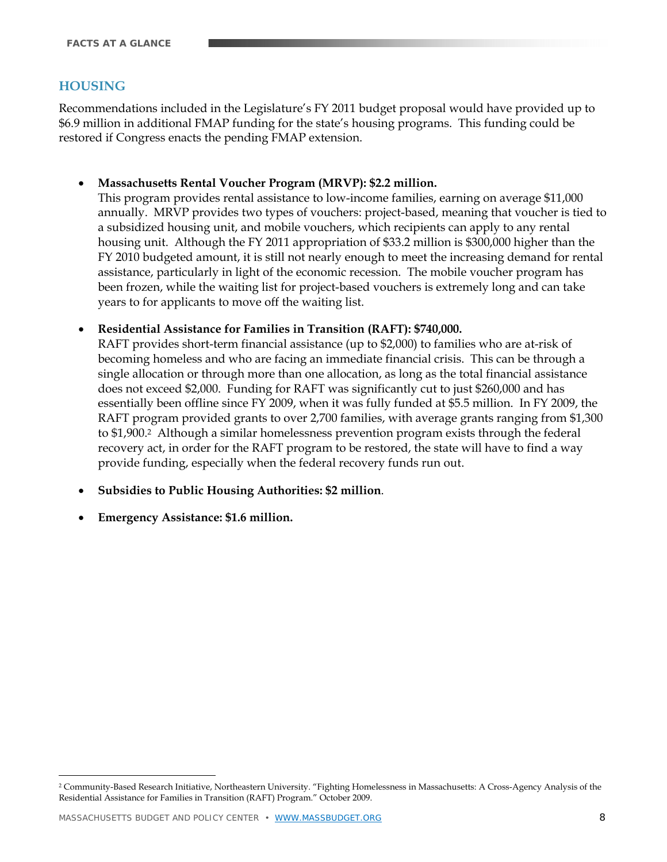# **HOUSING**

Recommendations included in the Legislature's FY 2011 budget proposal would have provided up to \$6.9 million in additional FMAP funding for the state's housing programs. This funding could be restored if Congress enacts the pending FMAP extension.

**Massachusetts Rental Voucher Program (MRVP): \$2.2 million.**

This program provides rental assistance to low-income families, earning on average \$11,000 annually. MRVP provides two types of vouchers: project-based, meaning that voucher is tied to a subsidized housing unit, and mobile vouchers, which recipients can apply to any rental housing unit. Although the FY 2011 appropriation of \$33.2 million is \$300,000 higher than the FY 2010 budgeted amount, it is still not nearly enough to meet the increasing demand for rental assistance, particularly in light of the economic recession. The mobile voucher program has been frozen, while the waiting list for project-based vouchers is extremely long and can take years to for applicants to move off the waiting list.

**Residential Assistance for Families in Transition (RAFT): \$740,000.** 

RAFT provides short-term financial assistance (up to \$2,000) to families who are at-risk of becoming homeless and who are facing an immediate financial crisis. This can be through a single allocation or through more than one allocation, as long as the total financial assistance does not exceed \$2,000. Funding for RAFT was significantly cut to just \$260,000 and has essentially been offline since FY 2009, when it was fully funded at \$5.5 million. In FY 2009, the RAFT program provided grants to over 2,700 families, with average grants ranging from \$1,300 to \$1,900.<sup>2</sup> Although a similar homelessness prevention program exists through the federal recovery act, in order for the RAFT program to be restored, the state will have to find a way provide funding, especially when the federal recovery funds run out.

- **Subsidies to Public Housing Authorities: \$2 million**.
- **Emergency Assistance: \$1.6 million.**

 $\overline{a}$ 

<sup>2</sup> Community-Based Research Initiative, Northeastern University. "Fighting Homelessness in Massachusetts: A Cross-Agency Analysis of the Residential Assistance for Families in Transition (RAFT) Program." October 2009.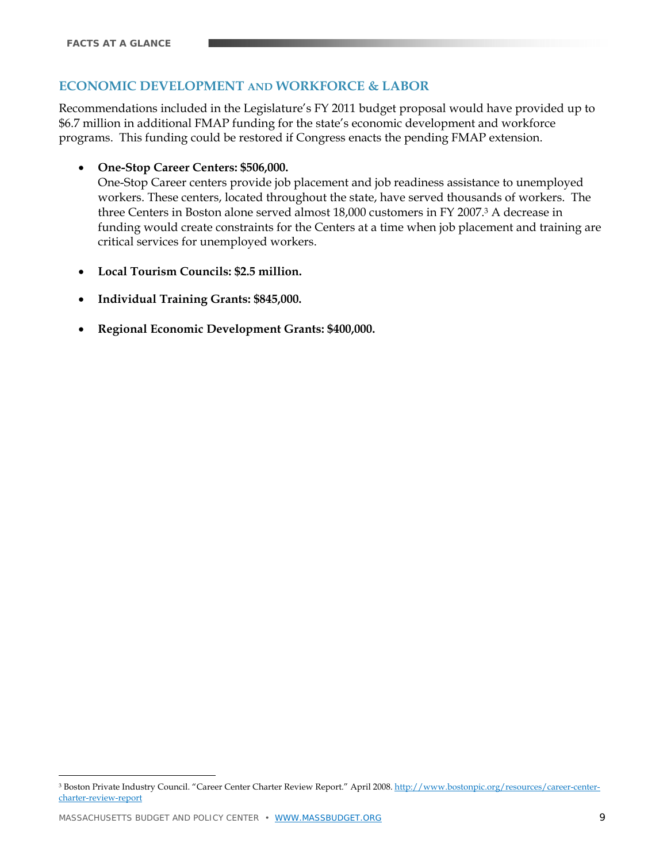# **ECONOMIC DEVELOPMENT AND WORKFORCE & LABOR**

Recommendations included in the Legislature's FY 2011 budget proposal would have provided up to \$6.7 million in additional FMAP funding for the state's economic development and workforce programs. This funding could be restored if Congress enacts the pending FMAP extension.

**One-Stop Career Centers: \$506,000.**

One-Stop Career centers provide job placement and job readiness assistance to unemployed workers. These centers, located throughout the state, have served thousands of workers. The three Centers in Boston alone served almost 18,000 customers in FY 2007.3 A decrease in funding would create constraints for the Centers at a time when job placement and training are critical services for unemployed workers.

- **Local Tourism Councils: \$2.5 million.**
- **Individual Training Grants: \$845,000.**
- **Regional Economic Development Grants: \$400,000.**

 $\overline{a}$ 

<sup>&</sup>lt;sup>3</sup> Boston Private Industry Council. "Career Center Charter Review Report." April 2008. http://www.bostonpic.org/resources/career-centercharter-review-report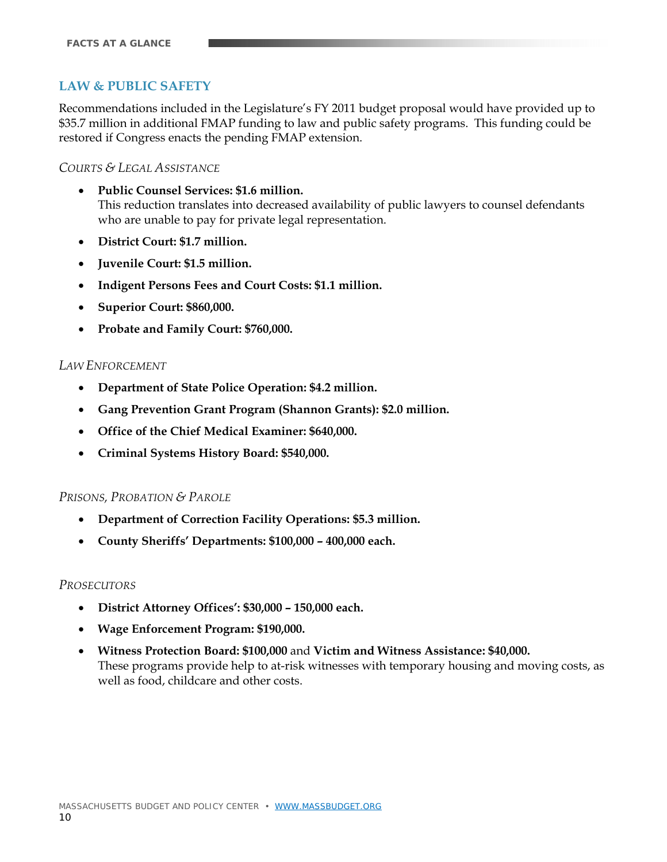# **LAW & PUBLIC SAFETY**

Recommendations included in the Legislature's FY 2011 budget proposal would have provided up to \$35.7 million in additional FMAP funding to law and public safety programs. This funding could be restored if Congress enacts the pending FMAP extension.

#### *COURTS & LEGAL ASSISTANCE*

- **Public Counsel Services: \$1.6 million.**  This reduction translates into decreased availability of public lawyers to counsel defendants who are unable to pay for private legal representation.
- **District Court: \$1.7 million.**
- **Juvenile Court: \$1.5 million.**
- **Indigent Persons Fees and Court Costs: \$1.1 million.**
- **Superior Court: \$860,000.**
- **Probate and Family Court: \$760,000.**

#### *LAW ENFORCEMENT*

- **Department of State Police Operation: \$4.2 million.**
- **Gang Prevention Grant Program (Shannon Grants): \$2.0 million.**
- **Office of the Chief Medical Examiner: \$640,000.**
- **Criminal Systems History Board: \$540,000.**

#### *PRISONS, PROBATION & PAROLE*

- **Department of Correction Facility Operations: \$5.3 million.**
- **County Sheriffs' Departments: \$100,000 400,000 each.**

#### *PROSECUTORS*

- **District Attorney Offices': \$30,000 150,000 each.**
- **Wage Enforcement Program: \$190,000.**
- **Witness Protection Board: \$100,000** and **Victim and Witness Assistance: \$40,000.**  These programs provide help to at-risk witnesses with temporary housing and moving costs, as well as food, childcare and other costs.